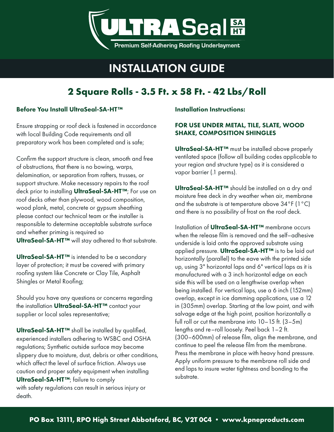

### INSTALLATION GUIDE

### **2 Square Rolls - 3.5 Ft. x 58 Ft. - 42 Lbs/Roll**

#### Before You Install UltraSeal-SA-HT™

Ensure strapping or roof deck is fastened in accordance with local Building Code requirements and all preparatory work has been completed and is safe;

Confirm the support structure is clean, smooth and free of obstructions, that there is no bowing, warps, delamination, or separation from rafters, trusses, or support structure. Make necessary repairs to the roof deck prior to installing **UltraSeal-SA-HT™**; For use on roof decks other than plywood, wood composition, wood plank, metal, concrete or gypsum sheathing please contact our technical team or the installer is responsible to determine acceptable substrate surface and whether priming is required so UltraSeal-SA-HT<sup>™</sup> will stay adhered to that substrate.

UltraSeal-SA-HT<sup>™</sup> is intended to be a secondary layer of protection; it must be covered with primary roofing system like Concrete or Clay Tile, Asphalt Shingles or Metal Roofing;

Should you have any questions or concerns regarding the installation UltraSeal-SA-HT™ contact your supplier or local sales representative;

UltraSeal-SA-HT™ shall be installed by qualified, experienced installers adhering to WSBC and OSHA regulations; Synthetic outside surface may become slippery due to moisture, dust, debris or other conditions, which affect the level of surface friction. Always use caution and proper safety equipment when installing UltraSeal-SA-HT<sup>™</sup>; failure to comply with safety regulations can result in serious injury or death.

### Installation Instructions:

#### FOR USE UNDER METAL, TILE, SLATE, WOOD SHAKE, COMPOSITION SHINGLES

UltraSeal-SA-HT<sup>™</sup> must be installed above properly ventilated space (follow all building codes applicable to your region and structure type) as it is considered a vapor barrier (.1 perms).

UltraSeal-SA-HT™ should be installed on a dry and moisture free deck in dry weather when air, membrane and the substrate is at temperature above 34°F (1°C) and there is no possibility of frost on the roof deck.

Installation of UltraSeal-SA-HT™ membrane occurs when the release film is removed and the self–adhesive underside is laid onto the approved substrate using applied pressure. UltraSeal-SA-HT<sup>™</sup> is to be laid out horizontally (parallel) to the eave with the printed side up, using 3" horizontal laps and 6" vertical laps as it is manufactured with a 3 inch horizontal edge on each side this will be used on a lengthwise overlap when being installed. For vertical laps, use a 6 inch (152mm) overlap, except in ice damming applications, use a 12 in (305mm) overlap. Starting at the low point, and with salvage edge at the high point, position horizontally a full roll or cut the membrane into 10–15 ft. (3–5m) lengths and re–roll loosely. Peel back 1–2 ft. (300–600mm) of release film, align the membrane, and continue to peel the release film from the membrane. Press the membrane in place with heavy hand pressure. Apply uniform pressure to the membrane roll side and end laps to insure water tightness and bonding to the substrate.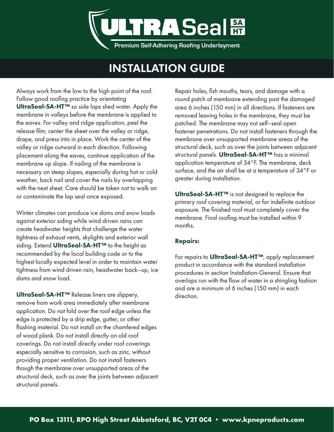

## INSTALLATION GUIDE

Always work from the low to the high point of the roof. Follow good roofing practice by orientating UltraSeal-SA-HT<sup>™</sup> so side laps shed water. Apply the membrane in valleys before the membrane is applied to the eaves. For valley and ridge application, peel the release film; center the sheet over the valley or ridge, drape, and press into in place. Work the center of the valley or ridge outward in each direction. Following placement along the eaves, continue application of the membrane up slope. If nailing of the membrane is necessary on steep slopes, especially during hot or cold weather, back nail and cover the nails by overlapping with the next sheet. Care should be taken not to walk on or contaminate the lap seal once exposed.

Winter climates can produce ice dams and snow loads against exterior siding while wind driven rains can create headwater heights that challenge the water tightness of exhaust vents, skylights and exterior wall siding. Extend **UltraSeal-SA-HT™** to the height as recommended by the local building code or to the highest locally expected level in order to maintain water tightness from wind driven rain, headwater back–up, ice dams and snow load.

UltraSeal-SA-HT™ Release liners are slippery, remove from work area immediately after membrane application. Do not fold over the roof edge unless the edge is protected by a drip edge, gutter, or other flashing material. Do not install on the chamfered edges of wood plank. Do not install directly on old roof coverings. Do not install directly under roof coverings especially sensitive to corrosion, such as zinc, without providing proper ventilation. Do not install fasteners though the membrane over unsupported areas of the structural deck, such as over the joints between adjacent structural panels.

Repair holes, fish mouths, tears, and damage with a round patch of membrane extending past the damaged area 6 inches (150 mm) in all directions. If fasteners are removed leaving holes in the membrane, they must be patched. The membrane may not self–seal open fastener penetrations. Do not install fasteners through the membrane over unsupported membrane areas of the structural deck, such as over the joints between adjacent structural panels. UltraSeal-SA-HT<sup>™</sup> has a minimal application temperature of 34°F. The membrane, deck surface, and the air shall be at a temperature of 34°F or greater during installation.

UltraSeal-SA-HT™ is not designed to replace the primary roof covering material, or for indefinite outdoor exposure. The finished roof must completely cover the membrane. Final roofing must be installed within 9 months.

#### Repairs:

For repairs to **UltraSeal-SA-HT™**, apply replacement product in accordance with the standard installation procedures in section Installation-General. Ensure that overlaps run with the flow of water in a shingling fashion and are a minimum of 6 inches (150 mm) in each direction.